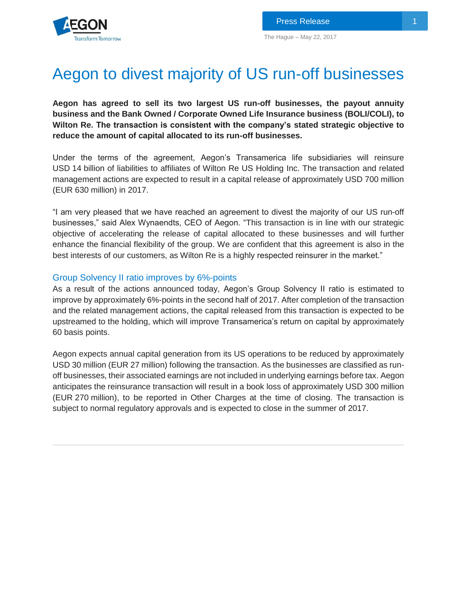# Aegon to divest majority of US run-off businesses

**Aegon has agreed to sell its two largest US run-off businesses, the payout annuity business and the Bank Owned / Corporate Owned Life Insurance business (BOLI/COLI), to Wilton Re. The transaction is consistent with the company's stated strategic objective to reduce the amount of capital allocated to its run-off businesses.** 

Under the terms of the agreement, Aegon's Transamerica life subsidiaries will reinsure USD 14 billion of liabilities to affiliates of Wilton Re US Holding Inc. The transaction and related management actions are expected to result in a capital release of approximately USD 700 million (EUR 630 million) in 2017.

"I am very pleased that we have reached an agreement to divest the majority of our US run-off businesses," said Alex Wynaendts, CEO of Aegon. "This transaction is in line with our strategic objective of accelerating the release of capital allocated to these businesses and will further enhance the financial flexibility of the group. We are confident that this agreement is also in the best interests of our customers, as Wilton Re is a highly respected reinsurer in the market."

## Group Solvency II ratio improves by 6%-points

As a result of the actions announced today, Aegon's Group Solvency II ratio is estimated to improve by approximately 6%-points in the second half of 2017. After completion of the transaction and the related management actions, the capital released from this transaction is expected to be upstreamed to the holding, which will improve Transamerica's return on capital by approximately 60 basis points.

Aegon expects annual capital generation from its US operations to be reduced by approximately USD 30 million (EUR 27 million) following the transaction. As the businesses are classified as runoff businesses, their associated earnings are not included in underlying earnings before tax. Aegon anticipates the reinsurance transaction will result in a book loss of approximately USD 300 million (EUR 270 million), to be reported in Other Charges at the time of closing. The transaction is subject to normal regulatory approvals and is expected to close in the summer of 2017.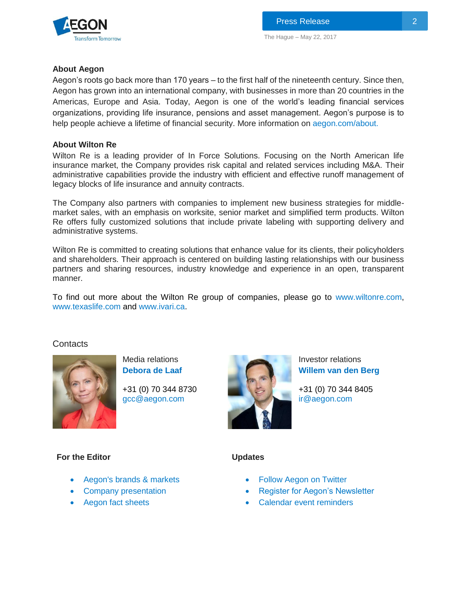

The Hague – May 22, 2017

## **About Aegon**

Aegon's roots go back more than 170 years – to the first half of the nineteenth century. Since then, Aegon has grown into an international company, with businesses in more than 20 countries in the Americas, Europe and Asia. Today, Aegon is one of the world's leading financial services organizations, providing life insurance, pensions and asset management. Aegon's purpose is to help people achieve a lifetime of financial security. More information on [aegon.com/about.](http://www.aegon.com/about)

# **About Wilton Re**

Wilton Re is a leading provider of In Force Solutions. Focusing on the North American life insurance market, the Company provides risk capital and related services including M&A. Their administrative capabilities provide the industry with efficient and effective runoff management of legacy blocks of life insurance and annuity contracts.

The Company also partners with companies to implement new business strategies for middlemarket sales, with an emphasis on worksite, senior market and simplified term products. Wilton Re offers fully customized solutions that include private labeling with supporting delivery and administrative systems.

Wilton Re is committed to creating solutions that enhance value for its clients, their policyholders and shareholders. Their approach is centered on building lasting relationships with our business partners and sharing resources, industry knowledge and experience in an open, transparent manner.

To find out more about the Wilton Re group of companies, please go to [www.wiltonre.com,](http://www.wiltonre.com/) [www.texaslife.com](http://www.texaslife.com/) and [www.ivari.ca.](http://www.ivari.ca/)

# **Contacts**



**For the Editor**

Media relations **[Debora de Laaf](http://www.aegon.com/Home/Investors/Contact/Media-Team/#50477)**

+31 (0) 70 344 8730 [gcc@aegon.com](mailto:gcc@aegon.com)



Investor relations **[Willem van den Berg](http://www.aegon.com/en/Home/Investors/Contact/Investor-Relations-Team/#34471)**

+31 (0) 70 344 8405 [ir@aegon.com](mailto:ir@aegon.com)

#### **Updates**

- [Aegon's brands & markets](http://www.aegon.com/en/Home/About/Brands--markets/?id=62629)
- [Company presentation](http://www.aegon.com/en/Home/Investors/News/Presentations/Archive/Introduction-to-Aegon/?id=31260)
- [Aegon fact sheets](http://www.aegon.com/en/Home/Investors/Fact-Sheets/?id=43432)
- [Follow Aegon on Twitter](http://twitter.com/Aegon)
- [Register for Aegon's Newsletter](http://aegon.us8.list-manage.com/subscribe?u=bed4350c3e2011a47e35e8081&id=8bc411d73f)
- [Calendar event reminders](http://www.aegon.com/en/Home/Investors/Calendar/)